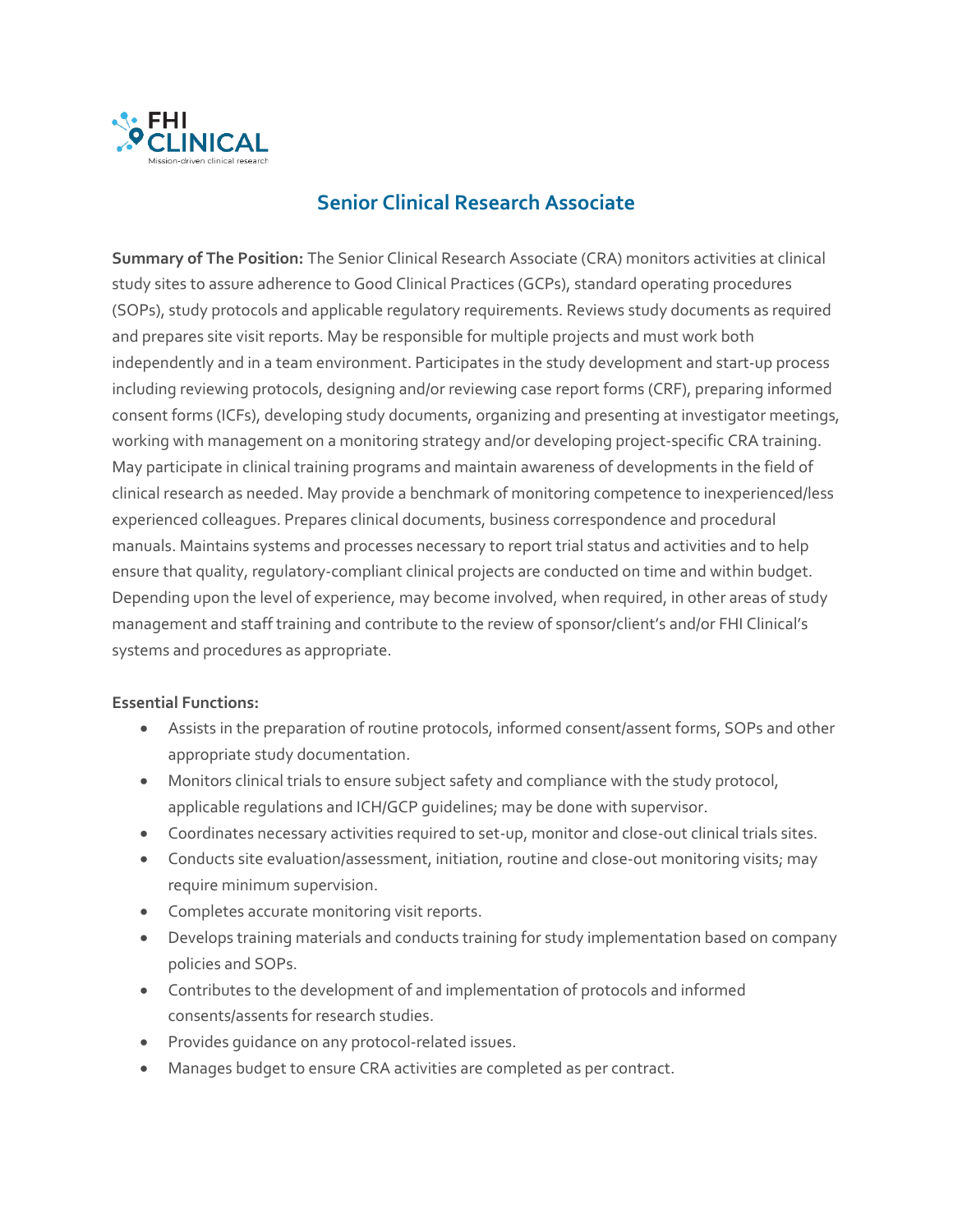

# **Senior Clinical Research Associate**

**Summary of The Position:** The Senior Clinical Research Associate (CRA) monitors activities at clinical study sites to assure adherence to Good Clinical Practices (GCPs), standard operating procedures (SOPs), study protocols and applicable regulatory requirements. Reviews study documents as required and prepares site visit reports. May be responsible for multiple projects and must work both independently and in a team environment. Participates in the study development and start-up process including reviewing protocols, designing and/or reviewing case report forms (CRF), preparing informed consent forms (ICFs), developing study documents, organizing and presenting at investigator meetings, working with management on a monitoring strategy and/or developing project-specific CRA training. May participate in clinical training programs and maintain awareness of developments in the field of clinical research as needed. May provide a benchmark of monitoring competence to inexperienced/less experienced colleagues. Prepares clinical documents, business correspondence and procedural manuals. Maintains systems and processes necessary to report trial status and activities and to help ensure that quality, regulatory-compliant clinical projects are conducted on time and within budget. Depending upon the level of experience, may become involved, when required, in other areas of study management and staff training and contribute to the review of sponsor/client's and/or FHI Clinical's systems and procedures as appropriate.

# **Essential Functions:**

- Assists in the preparation of routine protocols, informed consent/assent forms, SOPs and other appropriate study documentation.
- Monitors clinical trials to ensure subject safety and compliance with the study protocol, applicable regulations and ICH/GCP guidelines; may be done with supervisor.
- Coordinates necessary activities required to set-up, monitor and close-out clinical trials sites.
- Conducts site evaluation/assessment, initiation, routine and close-out monitoring visits; may require minimum supervision.
- Completes accurate monitoring visit reports.
- Develops training materials and conducts training for study implementation based on company policies and SOPs.
- Contributes to the development of and implementation of protocols and informed consents/assents for research studies.
- Provides guidance on any protocol-related issues.
- Manages budget to ensure CRA activities are completed as per contract.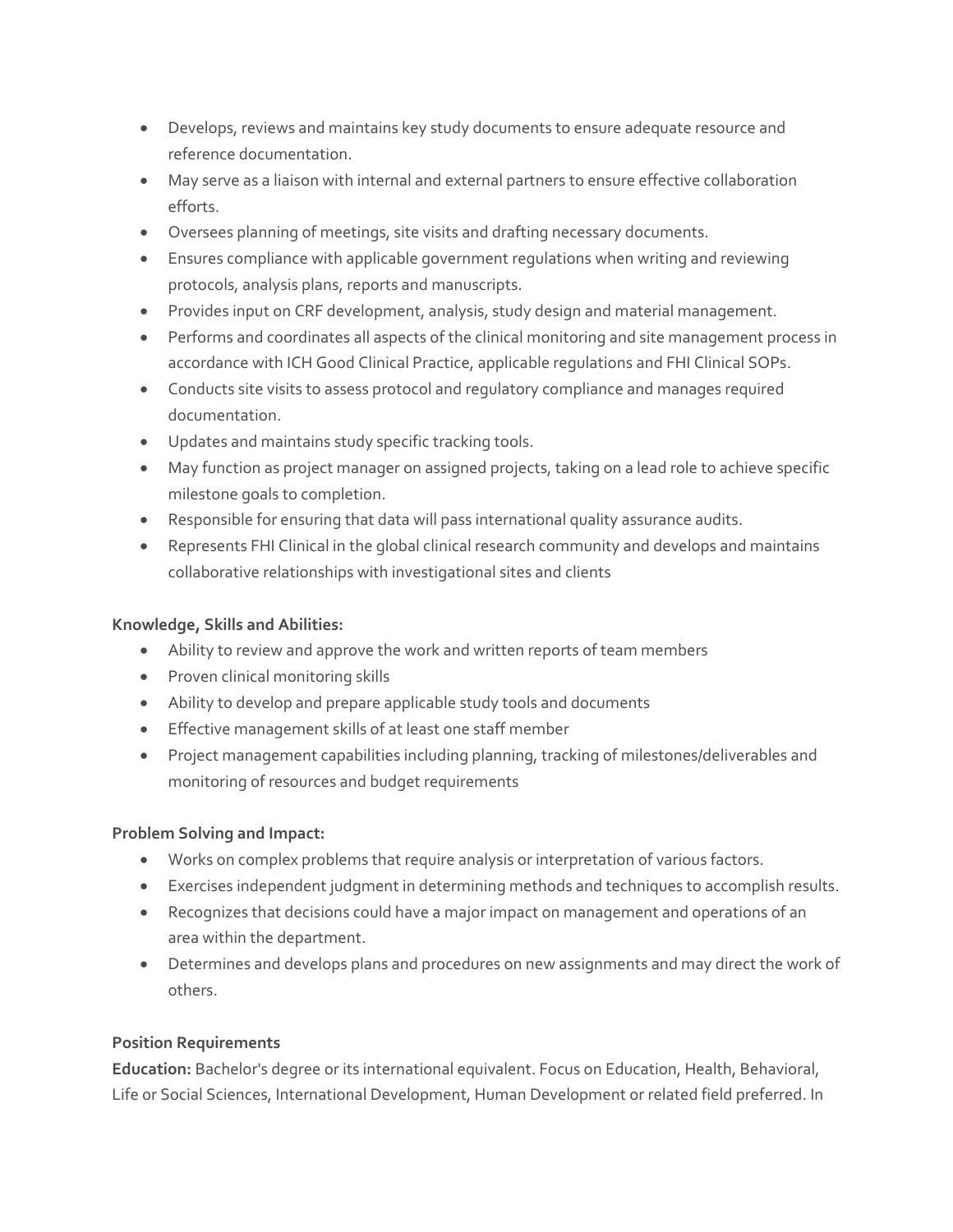- Develops, reviews and maintains key study documents to ensure adequate resource and reference documentation.
- May serve as a liaison with internal and external partners to ensure effective collaboration efforts.
- Oversees planning of meetings, site visits and drafting necessary documents.
- Ensures compliance with applicable government regulations when writing and reviewing protocols, analysis plans, reports and manuscripts.
- Provides input on CRF development, analysis, study design and material management.
- Performs and coordinates all aspects of the clinical monitoring and site management process in accordance with ICH Good Clinical Practice, applicable regulations and FHI Clinical SOPs.
- Conducts site visits to assess protocol and regulatory compliance and manages required documentation.
- Updates and maintains study specific tracking tools.
- May function as project manager on assigned projects, taking on a lead role to achieve specific milestone goals to completion.
- Responsible for ensuring that data will pass international quality assurance audits.
- Represents FHI Clinical in the global clinical research community and develops and maintains collaborative relationships with investigational sites and clients

### **Knowledge, Skills and Abilities:**

- Ability to review and approve the work and written reports of team members
- Proven clinical monitoring skills
- Ability to develop and prepare applicable study tools and documents
- Effective management skills of at least one staff member
- Project management capabilities including planning, tracking of milestones/deliverables and monitoring of resources and budget requirements

# **Problem Solving and Impact:**

- Works on complex problems that require analysis or interpretation of various factors.
- Exercises independent judgment in determining methods and techniques to accomplish results.
- Recognizes that decisions could have a major impact on management and operations of an area within the department.
- Determines and develops plans and procedures on new assignments and may direct the work of others.

# **Position Requirements**

**Education:** Bachelor's degree or its international equivalent. Focus on Education, Health, Behavioral, Life or Social Sciences, International Development, Human Development or related field preferred. In